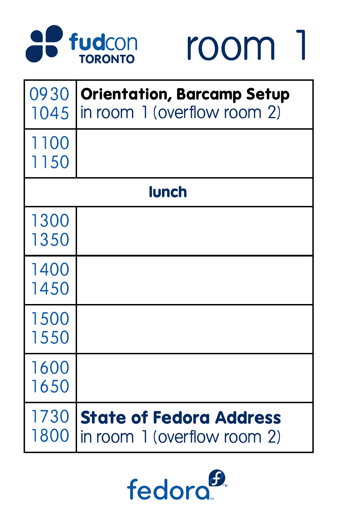



|              | 0930   Orientation, Barcamp Setup<br>1045   in room 1 (overflow room 2) |
|--------------|-------------------------------------------------------------------------|
| 1100<br>1150 |                                                                         |
| lunch        |                                                                         |
| 1300<br>1350 |                                                                         |
| 1400<br>1450 |                                                                         |
| 1500<br>1550 |                                                                         |
| 1600         |                                                                         |



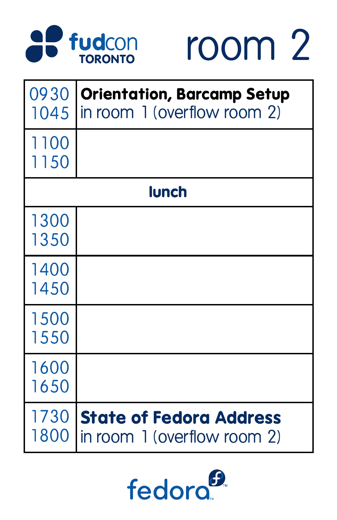



|                | 0930   Orientation, Barcamp Setup<br>1045   in room 1 (overflow room 2) |
|----------------|-------------------------------------------------------------------------|
| 1100<br>1150   |                                                                         |
| lunch          |                                                                         |
| 1300<br>1350   |                                                                         |
| 14 U U<br>1450 |                                                                         |
| 1500<br>1550   |                                                                         |
| 1600           |                                                                         |



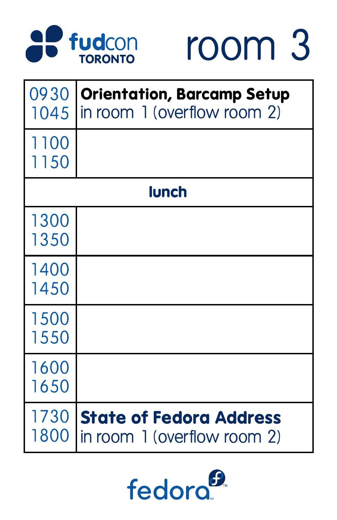



|                | 0930   Orientation, Barcamp Setup<br>1045   in room 1 (overflow room 2) |
|----------------|-------------------------------------------------------------------------|
| 1100<br>1150   |                                                                         |
| <b>lunch</b>   |                                                                         |
| 1300<br>1350   |                                                                         |
| 14 U U<br>1450 |                                                                         |
| 1500<br>1550   |                                                                         |
| 1600           |                                                                         |



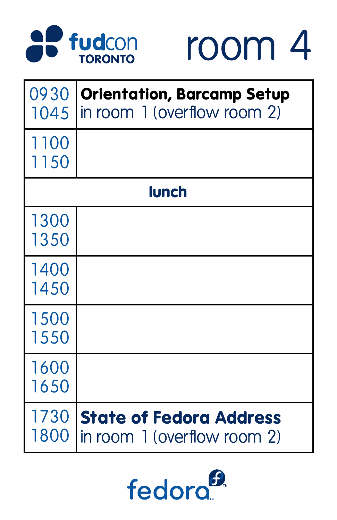



|                | 0930   Orientation, Barcamp Setup<br>1045   in room 1 (overflow room 2) |
|----------------|-------------------------------------------------------------------------|
| 1100<br>1150   |                                                                         |
| lunch          |                                                                         |
| 1300<br>1350   |                                                                         |
| 14 U U<br>1450 |                                                                         |
| 1500<br>1550   |                                                                         |
| 1600           |                                                                         |



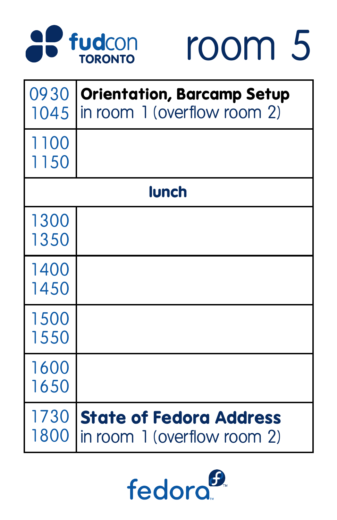



|              | 0930   Orientation, Barcamp Setup<br>1045 in room 1 (overflow room 2) |
|--------------|-----------------------------------------------------------------------|
| 1100<br>1150 |                                                                       |
| lunch        |                                                                       |
| 1300<br>1350 |                                                                       |
| 1400<br>1450 |                                                                       |
| 1500<br>1550 |                                                                       |
| 1600         |                                                                       |



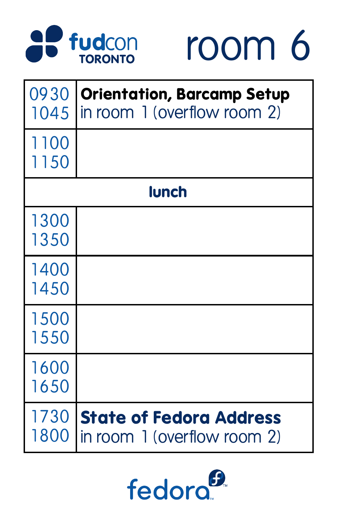



|                | 0930   Orientation, Barcamp Setup<br>1045   in room 1 (overflow room 2) |
|----------------|-------------------------------------------------------------------------|
| 1100<br>1150   |                                                                         |
| <b>lunch</b>   |                                                                         |
| 1300<br>1350   |                                                                         |
| 14 U U<br>1450 |                                                                         |
| 1500<br>1550   |                                                                         |
| 1600           |                                                                         |



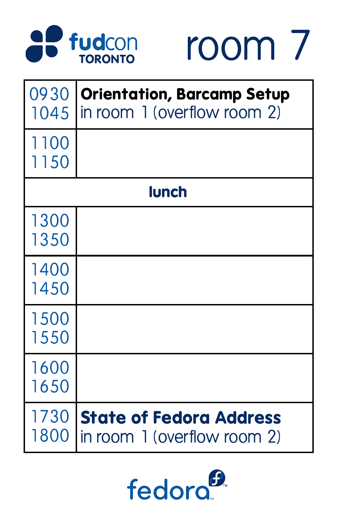



|              | 0930   Orientation, Barcamp Setup<br>1045   in room 1 (overflow room 2) |
|--------------|-------------------------------------------------------------------------|
| 1100<br>1150 |                                                                         |
| lunch        |                                                                         |
| 1300<br>1350 |                                                                         |
| 14UU<br>1450 |                                                                         |
| 1500<br>1550 |                                                                         |
| 1600         |                                                                         |